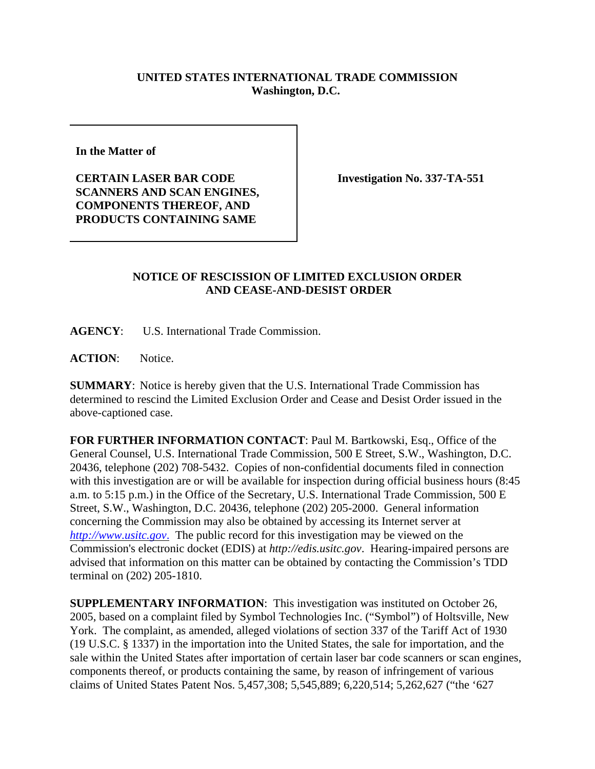## **UNITED STATES INTERNATIONAL TRADE COMMISSION Washington, D.C.**

**In the Matter of** 

**CERTAIN LASER BAR CODE SCANNERS AND SCAN ENGINES, COMPONENTS THEREOF, AND PRODUCTS CONTAINING SAME**

**Investigation No. 337-TA-551**

## **NOTICE OF RESCISSION OF LIMITED EXCLUSION ORDER AND CEASE-AND-DESIST ORDER**

**AGENCY**: U.S. International Trade Commission.

**ACTION**: Notice.

**SUMMARY**: Notice is hereby given that the U.S. International Trade Commission has determined to rescind the Limited Exclusion Order and Cease and Desist Order issued in the above-captioned case.

**FOR FURTHER INFORMATION CONTACT**: Paul M. Bartkowski, Esq., Office of the General Counsel, U.S. International Trade Commission, 500 E Street, S.W., Washington, D.C. 20436, telephone (202) 708-5432. Copies of non-confidential documents filed in connection with this investigation are or will be available for inspection during official business hours (8:45 a.m. to 5:15 p.m.) in the Office of the Secretary, U.S. International Trade Commission, 500 E Street, S.W., Washington, D.C. 20436, telephone (202) 205-2000. General information concerning the Commission may also be obtained by accessing its Internet server at *http://www.usitc.gov*. The public record for this investigation may be viewed on the Commission's electronic docket (EDIS) at *http://edis.usitc.gov*. Hearing-impaired persons are advised that information on this matter can be obtained by contacting the Commission's TDD terminal on (202) 205-1810.

**SUPPLEMENTARY INFORMATION**: This investigation was instituted on October 26, 2005, based on a complaint filed by Symbol Technologies Inc. ("Symbol") of Holtsville, New York. The complaint, as amended, alleged violations of section 337 of the Tariff Act of 1930 (19 U.S.C. § 1337) in the importation into the United States, the sale for importation, and the sale within the United States after importation of certain laser bar code scanners or scan engines, components thereof, or products containing the same, by reason of infringement of various claims of United States Patent Nos. 5,457,308; 5,545,889; 6,220,514; 5,262,627 ("the '627